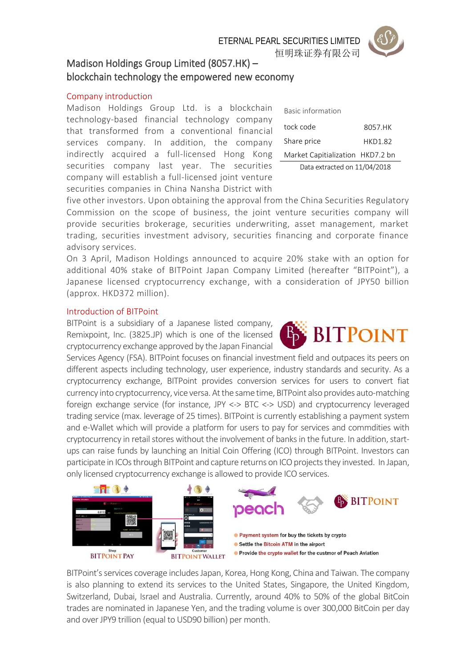ETERNAL PEARL SECURITIES LIMITED

恒明珠证券有限公司



# Madison Holdings Group Limited (8057.HK) – blockchain technology the empowered new economy

# Company introduction

Madison Holdings Group Ltd. is a blockchain technology-based financial technology company that transformed from a conventional financial services company. In addition, the company indirectly acquired a full-licensed Hong Kong securities company last year. The securities company will establish a full-licensed joint venture securities companies in China Nansha District with

| Basic information                |                |
|----------------------------------|----------------|
| tock code                        | 8057.HK        |
| Share price                      | <b>HKD1.82</b> |
| Market Capitialization HKD7.2 bn |                |
| Data extracted on 11/04/2018     |                |

five other investors. Upon obtaining the approval from the China Securities Regulatory Commission on the scope of business, the joint venture securities company will provide securities brokerage, securities underwriting, asset management, market trading, securities investment advisory, securities financing and corporate finance advisory services.

On 3 April, Madison Holdings announced to acquire 20% stake with an option for additional 40% stake of BITPoint Japan Company Limited (hereafter "BITPoint"), a Japanese licensed cryptocurrency exchange, with a consideration of JPY50 billion (approx. HKD372 million).

## Introduction of BITPoint

BITPoint is a subsidiary of a Japanese listed company, Remixpoint, Inc. (3825.JP) which is one of the licensed cryptocurrency exchange approved by the Japan Financial

Services Agency (FSA). BITPoint focuses on financial investment field and outpaces its peers on different aspects including technology, user experience, industry standards and security. As a cryptocurrency exchange, BITPoint provides conversion services for users to convert fiat currency into cryptocurrency, vice versa. Atthe same time, BITPoint also provides auto-matching foreign exchange service (for instance, JPY <-> BTC <-> USD) and cryptocurrency leveraged trading service (max. leverage of 25 times). BITPoint is currently establishing a payment system and e-Wallet which will provide a platform for users to pay for services and commdities with cryptocurrency in retail stores without the involvement of banks in the future. In addition, startups can raise funds by launching an Initial Coin Offering (ICO) through BITPoint. Investors can participate in ICOs through BITPoint and capture returns on ICO projects they invested. In Japan, only licensed cryptocurrency exchange is allowed to provide ICO services.



BITPoint's services coverage includes Japan, Korea, Hong Kong, China and Taiwan. The company is also planning to extend its services to the United States, Singapore, the United Kingdom, Switzerland, Dubai, Israel and Australia. Currently, around 40% to 50% of the global BitCoin trades are nominated in Japanese Yen, and the trading volume is over 300,000 BitCoin per day and over JPY9 trillion (equal to USD90 billion) per month.